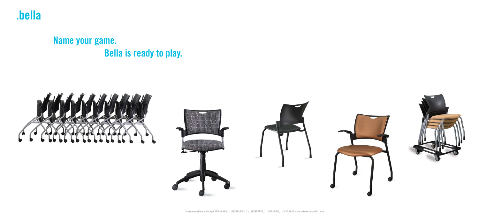



# **Name your game. Bella is ready to play.**